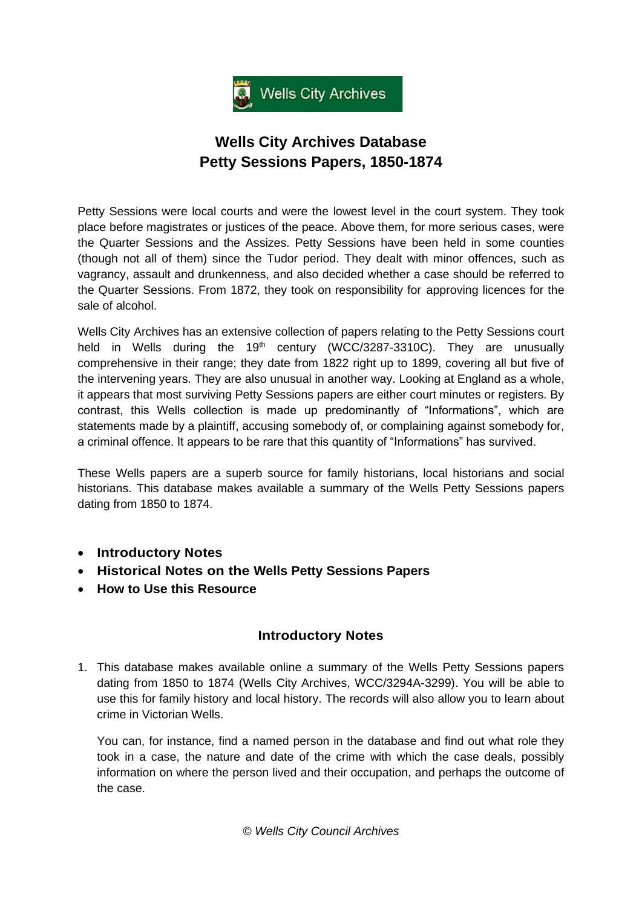

## **Wells City Archives Database Petty Sessions Papers, 1850-1874**

Petty Sessions were local courts and were the lowest level in the court system. They took place before magistrates or justices of the peace. Above them, for more serious cases, were the Quarter Sessions and the Assizes. Petty Sessions have been held in some counties (though not all of them) since the Tudor period. They dealt with minor offences, such as vagrancy, assault and drunkenness, and also decided whether a case should be referred to the Quarter Sessions. From 1872, they took on responsibility for approving licences for the sale of alcohol.

Wells City Archives has an extensive collection of papers relating to the Petty Sessions court held in Wells during the 19<sup>th</sup> century (WCC/3287-3310C). They are unusually comprehensive in their range; they date from 1822 right up to 1899, covering all but five of the intervening years. They are also unusual in another way. Looking at England as a whole, it appears that most surviving Petty Sessions papers are either court minutes or registers. By contrast, this Wells collection is made up predominantly of "Informations", which are statements made by a plaintiff, accusing somebody of, or complaining against somebody for, a criminal offence. It appears to be rare that this quantity of "Informations" has survived.

These Wells papers are a superb source for family historians, local historians and social historians. This database makes available a summary of the Wells Petty Sessions papers dating from 1850 to 1874.

- **[Introductory](#page-0-0) Notes**
- **Historical Notes [on the Wells Petty Sessions Papers](#page-2-0)**
- **[How to Use this Resource](#page-6-0)**

## **Introductory Notes**

<span id="page-0-0"></span>1. This database makes available online a summary of the Wells Petty Sessions papers dating from 1850 to 1874 (Wells City Archives, WCC/3294A-3299). You will be able to use this for family history and local history. The records will also allow you to learn about crime in Victorian Wells.

You can, for instance, find a named person in the database and find out what role they took in a case, the nature and date of the crime with which the case deals, possibly information on where the person lived and their occupation, and perhaps the outcome of the case.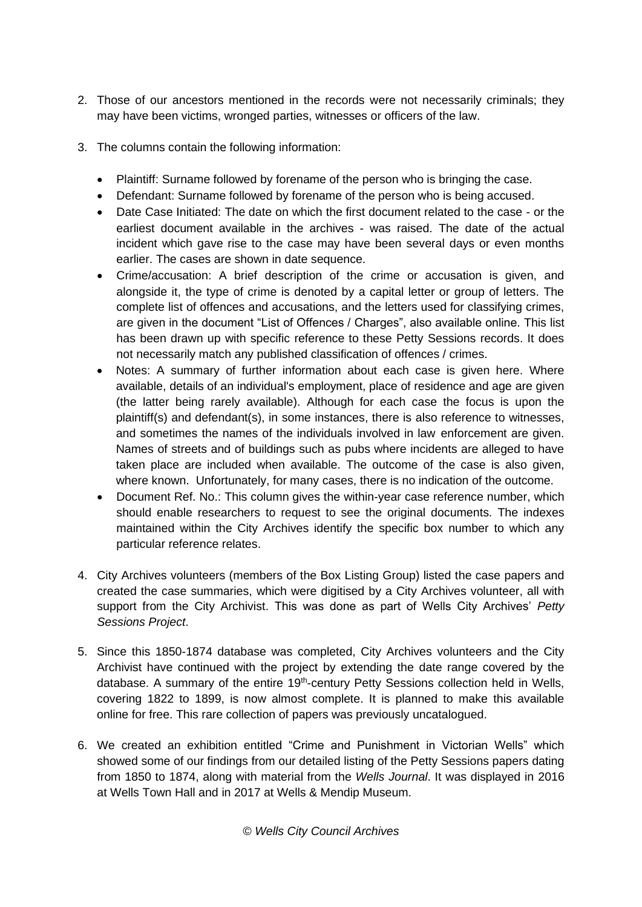- 2. Those of our ancestors mentioned in the records were not necessarily criminals; they may have been victims, wronged parties, witnesses or officers of the law.
- 3. The columns contain the following information:
	- Plaintiff: Surname followed by forename of the person who is bringing the case.
	- Defendant: Surname followed by forename of the person who is being accused.
	- Date Case Initiated: The date on which the first document related to the case or the earliest document available in the archives - was raised. The date of the actual incident which gave rise to the case may have been several days or even months earlier. The cases are shown in date sequence.
	- Crime/accusation: A brief description of the crime or accusation is given, and alongside it, the type of crime is denoted by a capital letter or group of letters. The complete list of offences and accusations, and the letters used for classifying crimes, are given in the document "List of Offences / Charges", also available online. This list has been drawn up with specific reference to these Petty Sessions records. It does not necessarily match any published classification of offences / crimes.
	- Notes: A summary of further information about each case is given here. Where available, details of an individual's employment, place of residence and age are given (the latter being rarely available). Although for each case the focus is upon the plaintiff(s) and defendant(s), in some instances, there is also reference to witnesses, and sometimes the names of the individuals involved in law enforcement are given. Names of streets and of buildings such as pubs where incidents are alleged to have taken place are included when available. The outcome of the case is also given, where known. Unfortunately, for many cases, there is no indication of the outcome.
	- Document Ref. No.: This column gives the within-year case reference number, which should enable researchers to request to see the original documents. The indexes maintained within the City Archives identify the specific box number to which any particular reference relates.
- 4. City Archives volunteers (members of the Box Listing Group) listed the case papers and created the case summaries, which were digitised by a City Archives volunteer, all with support from the City Archivist. This was done as part of Wells City Archives' *Petty Sessions Project*.
- 5. Since this 1850-1874 database was completed, City Archives volunteers and the City Archivist have continued with the project by extending the date range covered by the database. A summary of the entire 19<sup>th</sup>-century Petty Sessions collection held in Wells, covering 1822 to 1899, is now almost complete. It is planned to make this available online for free. This rare collection of papers was previously uncatalogued.
- 6. We created an exhibition entitled "Crime and Punishment in Victorian Wells" which showed some of our findings from our detailed listing of the Petty Sessions papers dating from 1850 to 1874, along with material from the *Wells Journal*. It was displayed in 2016 at Wells Town Hall and in 2017 at Wells & Mendip Museum.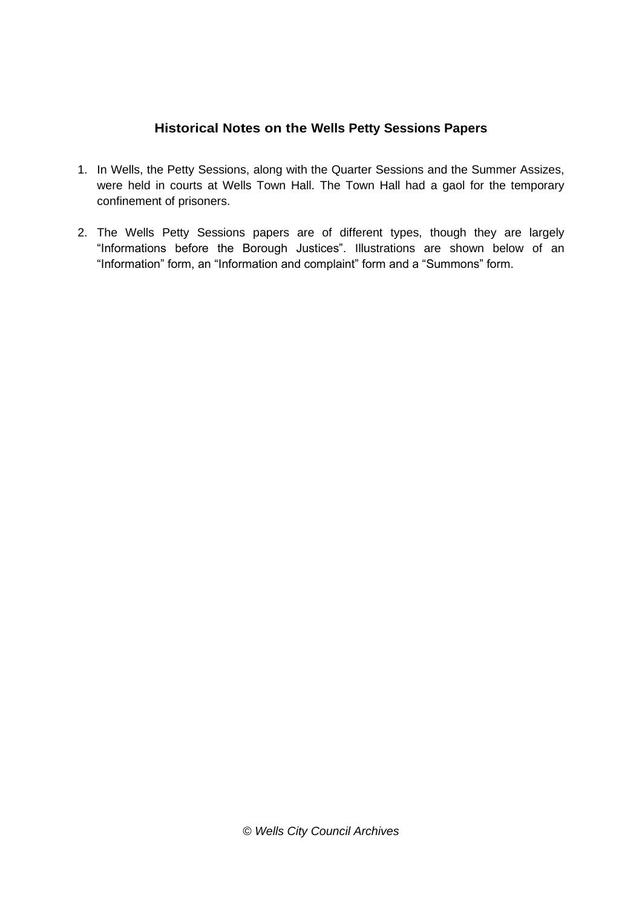## **Historical Notes on the Wells Petty Sessions Papers**

- <span id="page-2-0"></span>1. In Wells, the Petty Sessions, along with the Quarter Sessions and the Summer Assizes, were held in courts at Wells Town Hall. The Town Hall had a gaol for the temporary confinement of prisoners.
- 2. The Wells Petty Sessions papers are of different types, though they are largely "Informations before the Borough Justices". Illustrations are shown below of an "Information" form, an "Information and complaint" form and a "Summons" form.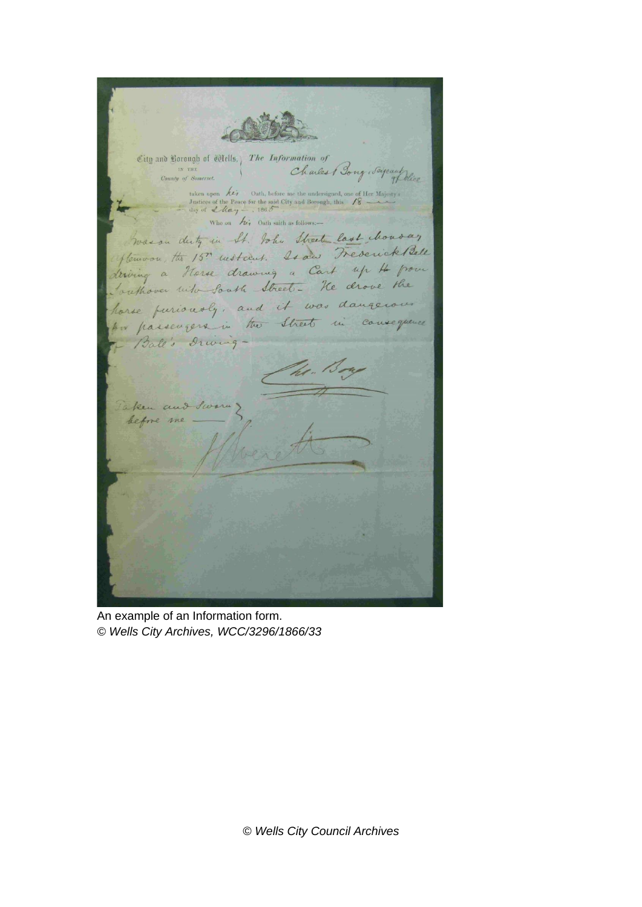City and Borough of Tells, The Information of County of Somerset. Charles Bong Saige 4 Delice taken upon  $\overbrace{\mathcal{L}i}$  Oath, before me the undersigned, one of Her Majosty's Justices of the Peace for the said City and Borough, this  $\overbrace{\mathcal{L}$  day of  $\mathcal{L}$  day  $\overline{\mathcal{L}}$ Who on his Oath saith as follows Goason duty in It. John Street last chonoar flemoon, the 15th noticent. Is and Trevenick Bell derving a Horse drawing a Cart up 4 pour Conthover with South Street - He drove the horse puriously, and it was dangerous for passengers in the Street in consequence Ball's Drivinghe. 100 Taken and Swarn before me

An example of an Information form. *© Wells City Archives, WCC/3296/1866/33*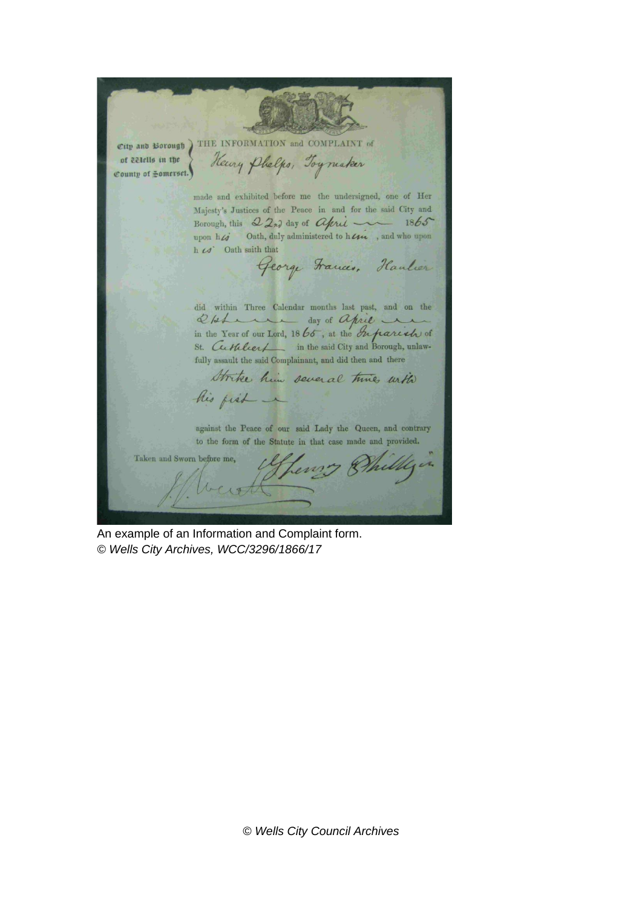City and Borough ) THE INFORMATION and COMPLAINT of Keny Phelps, Toymaker of celells in the County of Homerset. made and exhibited before me the undersigned, one of Her Majesty's Justices of the Peace in and for the said City and Borough, this  $22n^2$  day of *Chris* 1865<br>upon  $h\mathcal{L}$  Oath, duly administered to  $h\mathcal{L}$  , and who upon h co' Oath saith that George Francis, Haulier did within Three Calendar months last past, and on the D/she day of april St. Cuttleet in the said City and Borough, unlawfully assault the said Complainant, and did then and there Strike him several time with his fish ~ against the Peace of our said Lady the Queen, and contrary to the form of the Statute in that case made and provided. Taken and Sworn before me, Lewis Bhilly  $\mathbf{z}$ 

An example of an Information and Complaint form. *© Wells City Archives, WCC/3296/1866/17*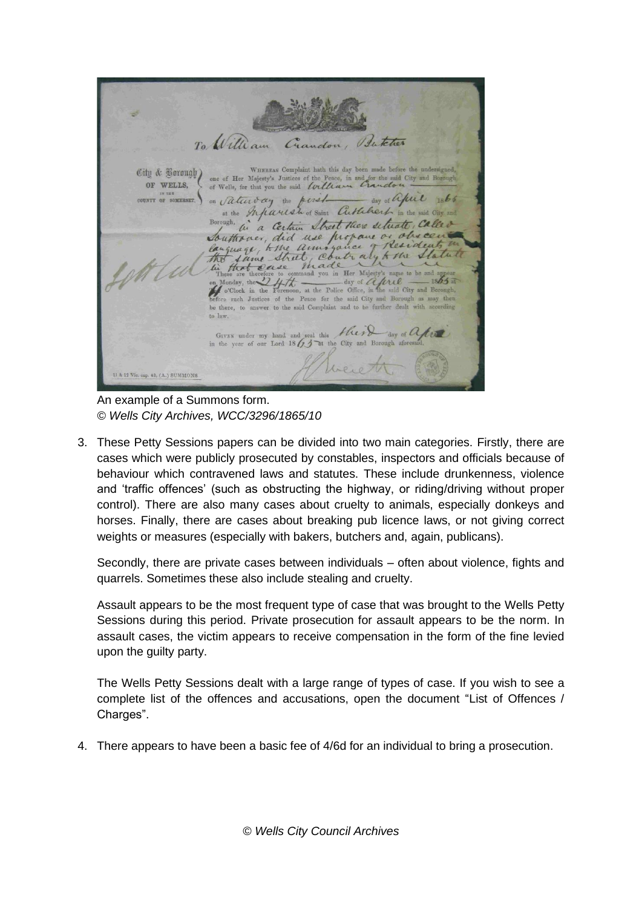To William Isukter Crandon City & Borough WHEREAS Complaint hath this day been made before the under one of Her Majesty's Justices of the Peace, in and for the said City and Borough of Wells, for that you the said Lorllian Crauclou OF WELLS. on Saturday the period day of april 1866 day of april 1865 UNTY OF SOMERSET. Borough, in a Certain Street there setuate, Called Touthouse, did use propaire or obsession to the contract of the state of the state of the state of the state of the line of the state of the state of the state of the state of the state of the state of the state of the sta ore such Justices of the Peace for the said City and Borough as may then be there, to answer to the said Complaint and to be further dealt with according to law. Given under my hand and seal this  $H$ (e) day of  $Q$  (e) beio 11 & 12 Vie. cap. 43, (A.) SUMMONS

An example of a Summons form. *© Wells City Archives, WCC/3296/1865/10*

3. These Petty Sessions papers can be divided into two main categories. Firstly, there are cases which were publicly prosecuted by constables, inspectors and officials because of behaviour which contravened laws and statutes. These include drunkenness, violence and 'traffic offences' (such as obstructing the highway, or riding/driving without proper control). There are also many cases about cruelty to animals, especially donkeys and horses. Finally, there are cases about breaking pub licence laws, or not giving correct weights or measures (especially with bakers, butchers and, again, publicans).

Secondly, there are private cases between individuals – often about violence, fights and quarrels. Sometimes these also include stealing and cruelty.

Assault appears to be the most frequent type of case that was brought to the Wells Petty Sessions during this period. Private prosecution for assault appears to be the norm. In assault cases, the victim appears to receive compensation in the form of the fine levied upon the guilty party.

The Wells Petty Sessions dealt with a large range of types of case. If you wish to see a complete list of the offences and accusations, open the document "List of Offences / Charges".

4. There appears to have been a basic fee of 4/6d for an individual to bring a prosecution.